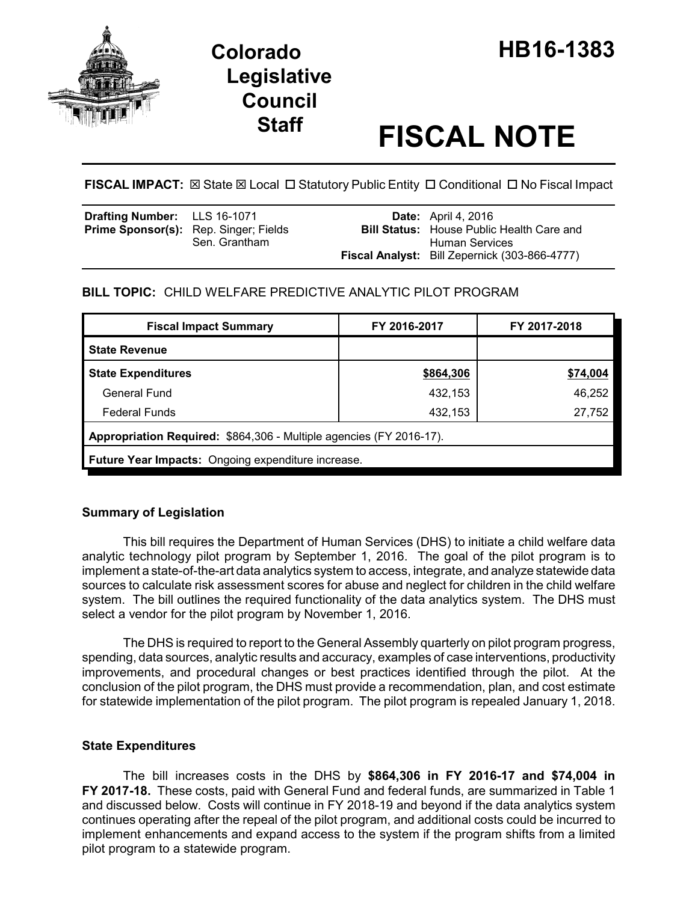

# **Staff FISCAL NOTE**

**FISCAL IMPACT:** ⊠ State ⊠ Local □ Statutory Public Entity □ Conditional □ No Fiscal Impact

| <b>Drafting Number:</b> LLS 16-1071          |               | <b>Date:</b> April 4, 2016                                         |
|----------------------------------------------|---------------|--------------------------------------------------------------------|
| <b>Prime Sponsor(s):</b> Rep. Singer; Fields | Sen. Grantham | <b>Bill Status:</b> House Public Health Care and<br>Human Services |
|                                              |               | <b>Fiscal Analyst:</b> Bill Zepernick (303-866-4777)               |

# **BILL TOPIC:** CHILD WELFARE PREDICTIVE ANALYTIC PILOT PROGRAM

| <b>Fiscal Impact Summary</b>                                        | FY 2016-2017 | FY 2017-2018 |  |  |  |  |
|---------------------------------------------------------------------|--------------|--------------|--|--|--|--|
| <b>State Revenue</b>                                                |              |              |  |  |  |  |
| <b>State Expenditures</b>                                           | \$864,306    | \$74,004     |  |  |  |  |
| General Fund                                                        | 432,153      | 46,252       |  |  |  |  |
| <b>Federal Funds</b>                                                | 432,153      | 27,752       |  |  |  |  |
| Appropriation Required: \$864,306 - Multiple agencies (FY 2016-17). |              |              |  |  |  |  |
| <b>Future Year Impacts:</b> Ongoing expenditure increase.           |              |              |  |  |  |  |

# **Summary of Legislation**

This bill requires the Department of Human Services (DHS) to initiate a child welfare data analytic technology pilot program by September 1, 2016. The goal of the pilot program is to implement a state-of-the-art data analytics system to access, integrate, and analyze statewide data sources to calculate risk assessment scores for abuse and neglect for children in the child welfare system. The bill outlines the required functionality of the data analytics system. The DHS must select a vendor for the pilot program by November 1, 2016.

The DHS is required to report to the General Assembly quarterly on pilot program progress, spending, data sources, analytic results and accuracy, examples of case interventions, productivity improvements, and procedural changes or best practices identified through the pilot. At the conclusion of the pilot program, the DHS must provide a recommendation, plan, and cost estimate for statewide implementation of the pilot program. The pilot program is repealed January 1, 2018.

## **State Expenditures**

The bill increases costs in the DHS by **\$864,306 in FY 2016-17 and \$74,004 in FY 2017-18.** These costs, paid with General Fund and federal funds, are summarized in Table 1 and discussed below. Costs will continue in FY 2018-19 and beyond if the data analytics system continues operating after the repeal of the pilot program, and additional costs could be incurred to implement enhancements and expand access to the system if the program shifts from a limited pilot program to a statewide program.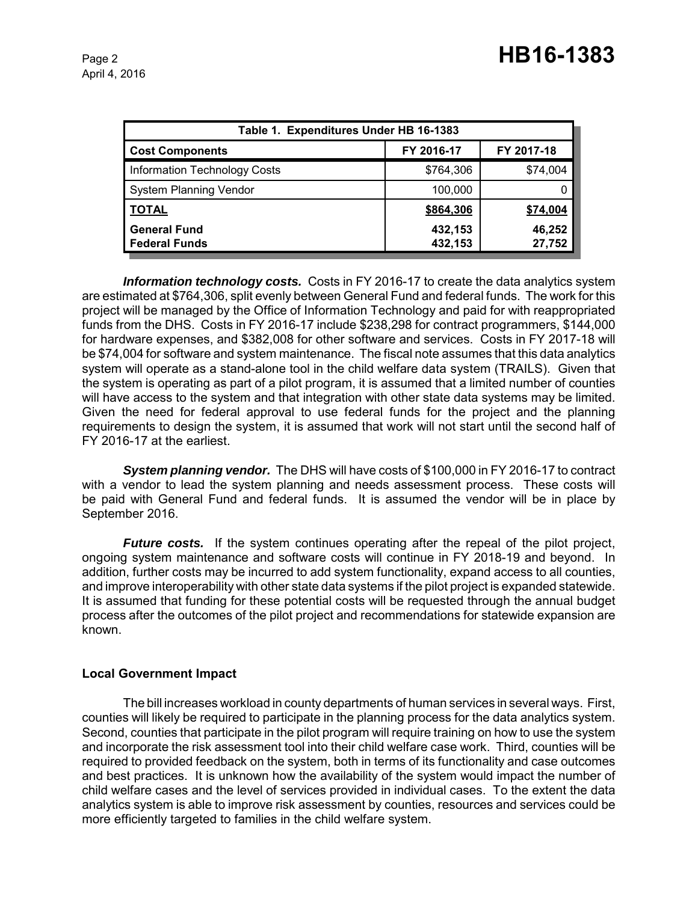| Table 1. Expenditures Under HB 16-1383      |                    |                  |  |  |  |
|---------------------------------------------|--------------------|------------------|--|--|--|
| <b>Cost Components</b>                      | FY 2016-17         | FY 2017-18       |  |  |  |
| <b>Information Technology Costs</b>         | \$764,306          | \$74,004         |  |  |  |
| <b>System Planning Vendor</b>               | 100,000            |                  |  |  |  |
| <b>TOTAL</b>                                | \$864,306          | \$74,004         |  |  |  |
| <b>General Fund</b><br><b>Federal Funds</b> | 432,153<br>432,153 | 46,252<br>27,752 |  |  |  |

*Information technology costs.* Costs in FY 2016-17 to create the data analytics system are estimated at \$764,306, split evenly between General Fund and federal funds. The work for this project will be managed by the Office of Information Technology and paid for with reappropriated funds from the DHS. Costs in FY 2016-17 include \$238,298 for contract programmers, \$144,000 for hardware expenses, and \$382,008 for other software and services. Costs in FY 2017-18 will be \$74,004 for software and system maintenance. The fiscal note assumes that this data analytics system will operate as a stand-alone tool in the child welfare data system (TRAILS). Given that the system is operating as part of a pilot program, it is assumed that a limited number of counties will have access to the system and that integration with other state data systems may be limited. Given the need for federal approval to use federal funds for the project and the planning requirements to design the system, it is assumed that work will not start until the second half of FY 2016-17 at the earliest.

*System planning vendor.* The DHS will have costs of \$100,000 in FY 2016-17 to contract with a vendor to lead the system planning and needs assessment process. These costs will be paid with General Fund and federal funds. It is assumed the vendor will be in place by September 2016.

*Future costs.* If the system continues operating after the repeal of the pilot project, ongoing system maintenance and software costs will continue in FY 2018-19 and beyond. In addition, further costs may be incurred to add system functionality, expand access to all counties, and improve interoperability with other state data systems if the pilot project is expanded statewide. It is assumed that funding for these potential costs will be requested through the annual budget process after the outcomes of the pilot project and recommendations for statewide expansion are known.

## **Local Government Impact**

The bill increases workload in county departments of human services in several ways. First, counties will likely be required to participate in the planning process for the data analytics system. Second, counties that participate in the pilot program will require training on how to use the system and incorporate the risk assessment tool into their child welfare case work. Third, counties will be required to provided feedback on the system, both in terms of its functionality and case outcomes and best practices. It is unknown how the availability of the system would impact the number of child welfare cases and the level of services provided in individual cases. To the extent the data analytics system is able to improve risk assessment by counties, resources and services could be more efficiently targeted to families in the child welfare system.